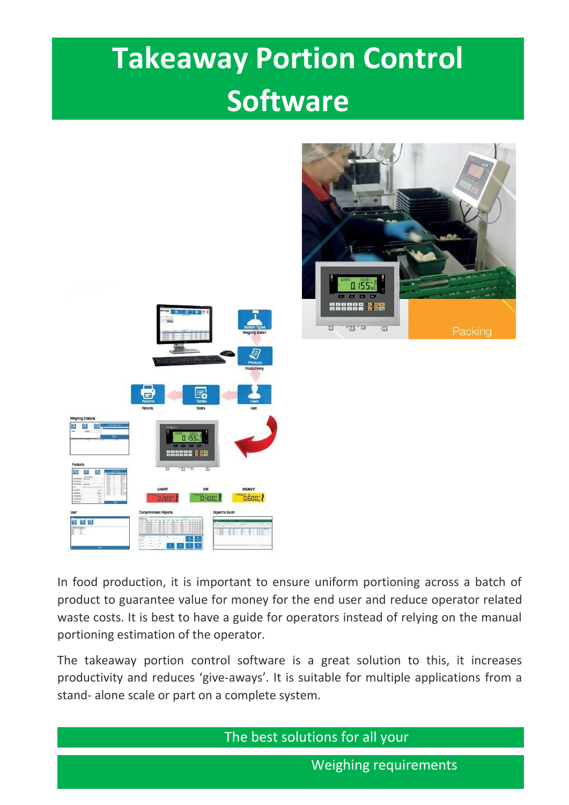# **Takeaway Portion Control Software**



In food production, it is important to ensure uniform portioning across a batch of product to guarantee value for money for the end user and reduce operator related waste costs. It is best to have a guide for operators instead of relying on the manual portioning estimation of the operator.

The takeaway portion control software is a great solution to this, it increases productivity and reduces 'give-aways'. It is suitable for multiple applications from a stand- alone scale or part on a complete system.

The best solutions for all your

Weighing requirements